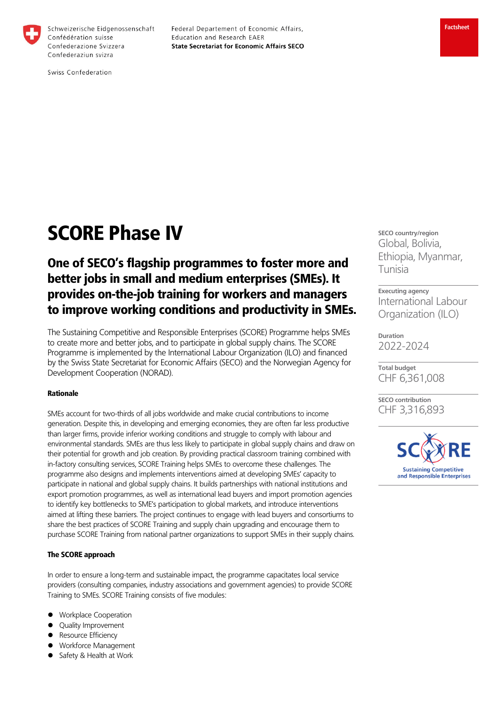

Schweizerische Eidgenossenschaft Confédération suisse Confederazione Svizzera Confederaziun svizra

Federal Departement of Economic Affairs, Education and Research EAER **State Secretariat for Economic Affairs SECO** 

Swiss Confederation

# SCORE Phase IV

## One of SECO's flagship programmes to foster more and better jobs in small and medium enterprises (SMEs). It provides on-the-job training for workers and managers to improve working conditions and productivity in SMEs.

The Sustaining Competitive and Responsible Enterprises (SCORE) Programme helps SMEs to create more and better jobs, and to participate in global supply chains. The SCORE Programme is implemented by the International Labour Organization (ILO) and financed by the Swiss State Secretariat for Economic Affairs (SECO) and the Norwegian Agency for Development Cooperation (NORAD).

#### Rationale

SMEs account for two-thirds of all jobs worldwide and make crucial contributions to income generation. Despite this, in developing and emerging economies, they are often far less productive than larger firms, provide inferior working conditions and struggle to comply with labour and environmental standards. SMEs are thus less likely to participate in global supply chains and draw on their potential for growth and job creation. By providing practical classroom training combined with in-factory consulting services, SCORE Training helps SMEs to overcome these challenges. The programme also designs and implements interventions aimed at developing SMEs' capacity to participate in national and global supply chains. It builds partnerships with national institutions and export promotion programmes, as well as international lead buyers and import promotion agencies to identify key bottlenecks to SME's participation to global markets, and introduce interventions aimed at lifting these barriers. The project continues to engage with lead buyers and consortiums to share the best practices of SCORE Training and supply chain upgrading and encourage them to purchase SCORE Training from national partner organizations to support SMEs in their supply chains.

#### The SCORE approach

In order to ensure a long-term and sustainable impact, the programme capacitates local service providers (consulting companies, industry associations and government agencies) to provide SCORE Training to SMEs. SCORE Training consists of five modules:

- Workplace Cooperation
- Quality Improvement
- Resource Efficiency
- Workforce Management
- Safety & Health at Work

**SECO country/region**  Global, Bolivia, Ethiopia, Myanmar, Tunisia

**Executing agency**  International Labour Organization (ILO)

**Duration**  2022-2024

**Total budget**  CHF 6,361,008

**SECO contribution**  CHF 3,316,893